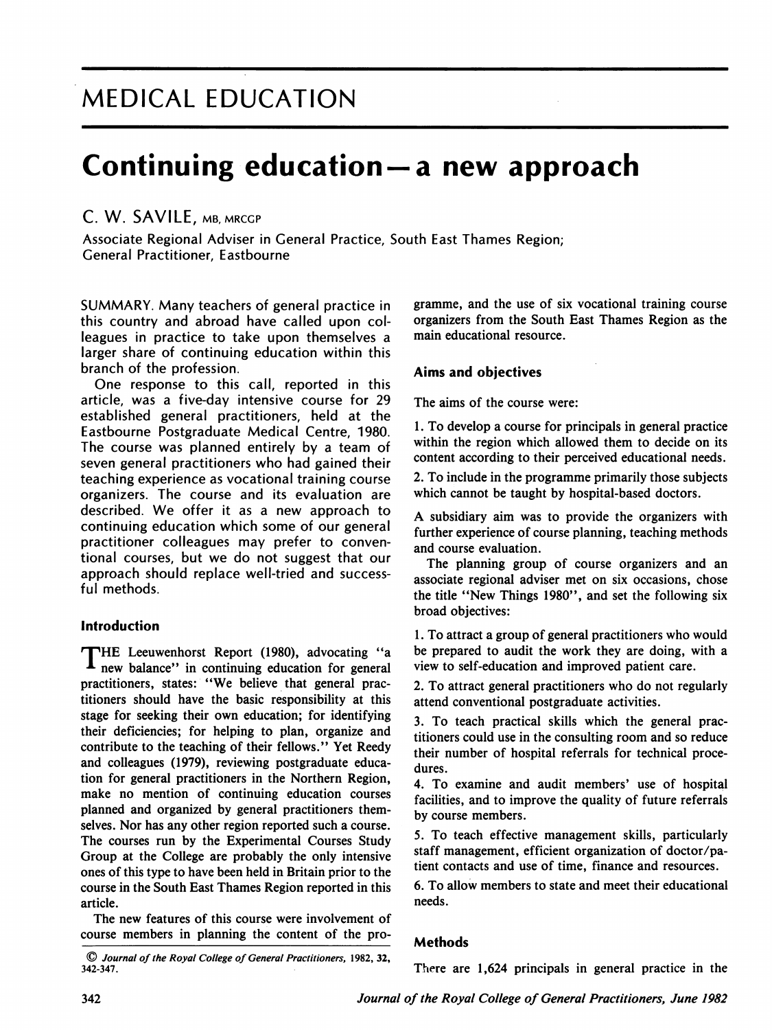# MEDICAL EDUCATION

# Continuing education  $-$  a new approach

## C. W. SAVILE, MB, MRCGP

Associate Regional Adviser in General Practice, South East Thames Region; General Practitioner, Eastbourne

SUMMARY. Many teachers of general practice in this country and abroad have called upon colleagues in practice to take upon themselves a larger share of continuing education within this branch of the profession.

One response to this call, reported in this article, was a five-day intensive course for 29 established general practitioners, held at the Eastbourne Postgraduate Medical Centre, 1980. The course was planned entirely by a team of seven general practitioners who had gained their teaching experience as vocational training course organizers. The course and its evaluation are described. We offer it as <sup>a</sup> new approach to continuing education which some of our general practitioner colleagues may prefer to conventional courses, but we do not suggest that our approach should replace well-tried and successful methods.

#### Introduction

THE Leeuwenhorst Report (1980), advocating "a new balance" in continuing education for general practitioners, states: "We believe that general practitioners should have the basic responsibility at this stage for seeking their own education; for identifying their deficiencies; for helping to plan, organize and contribute to the teaching of their fellows." Yet Reedy and colleagues (1979), reviewing postgraduate education for general practitioners in the Northern Region, make no mention of continuing education courses planned and organized by general practitioners themselves. Nor has any other region reported such a course. The courses run by the Experimental Courses Study Group at the College are probably the only intensive ones of this type to have been held in Britain prior to the course in the South East Thames Region reported in this article.

The new features of this course were involvement of course members in planning the content of the programme, and the use of six vocational training course organizers from the South East Thames Region as the main educational resource.

### Aims and objectives

The aims of the course were:

1. To develop a course for principals in general practice within the region which allowed them to decide on its content according to their perceived educational needs.

2. To include in the programme primarily those subjects which cannot be taught by hospital-based doctors.

A subsidiary aim was to provide the organizers with further experience of course planning, teaching methods and course evaluation.

The planning group of course organizers and an associate regional adviser met on six occasions, chose the title "New Things 1980", and set the following six broad objectives:

1. To attract <sup>a</sup> group of general practitioners who would be prepared to audit the work they are doing, with a view to self-education and improved patient care.

2. To attract general practitioners who do not regularly attend conventional postgraduate activities.

3. To teach practical skills which the general practitioners could use in the consulting room and so reduce their number of hospital referrals for technical procedures.

4. To examine and audit members' use of hospital facilities, and to improve the quality of future referrals by course members.

5. To teach effective management skills, particularly staff management, efficient organization of doctor/patient contacts and use of time, finance and resources.

6. To allow members to state and meet their educational needs.

### Methods

There are 1,624 principals in general practice in the

<sup>©</sup> Journal of the Royal College of General Practitioners, 1982,32, 342-347.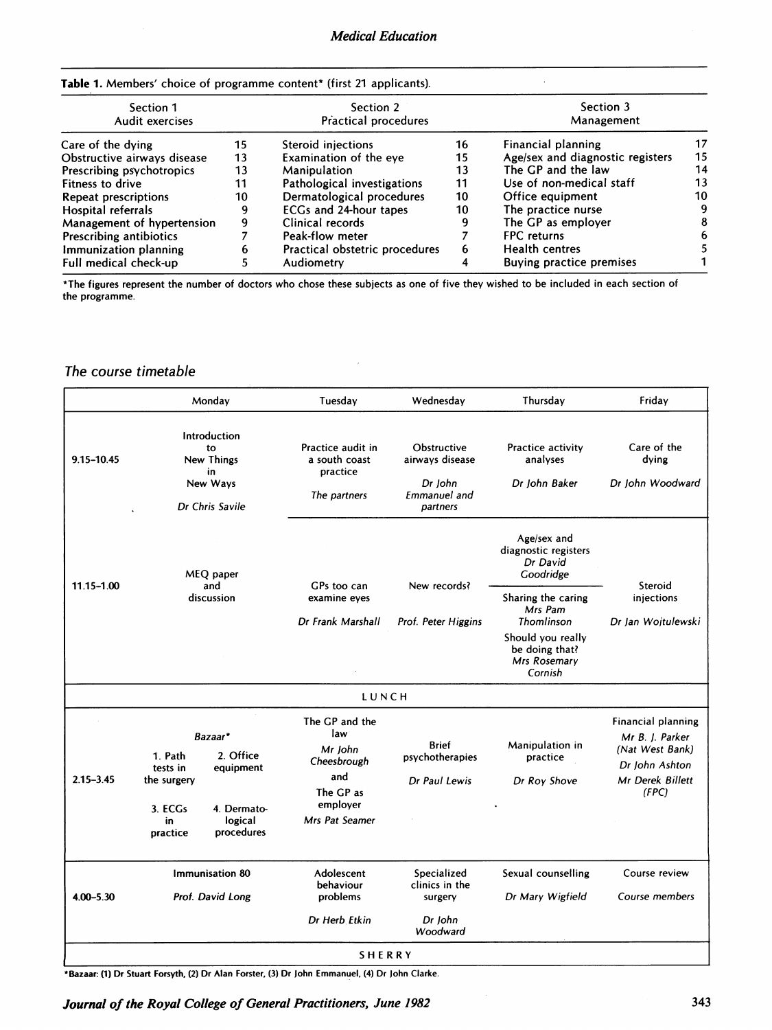$\bar{z}$ 

#### Table 1. Members' choice of programme content\* (first 21 applicants).

| Section 1<br>Audit exercises   |    | Section 2<br>Practical procedures |    | Section 3<br>Management          |    |
|--------------------------------|----|-----------------------------------|----|----------------------------------|----|
| Care of the dying              | 15 | Steroid injections                | 16 | Financial planning               | 17 |
| Obstructive airways disease    | 13 | Examination of the eye            | 15 | Age/sex and diagnostic registers | 15 |
| Prescribing psychotropics      | 13 | Manipulation                      | 13 | The GP and the law               | 14 |
| Fitness to drive               | 11 | Pathological investigations       | 11 | Use of non-medical staff         | 13 |
| Repeat prescriptions           | 10 | Dermatological procedures         | 10 | Office equipment                 | 10 |
| Hospital referrals             | 9  | ECGs and 24-hour tapes            | 10 | The practice nurse               | 9  |
| Management of hypertension     | 9  | Clinical records                  | 9  | The GP as employer               | 8  |
| <b>Prescribing antibiotics</b> |    | Peak-flow meter                   |    | <b>FPC</b> returns               | 6  |
| Immunization planning          | h  | Practical obstetric procedures    | 6  | <b>Health centres</b>            |    |
| Full medical check-up          |    | Audiometry                        |    | <b>Buying practice premises</b>  |    |

\*The figures represent the number of doctors who chose these subjects as one of five they wished to be included in each section of the programme.

## The course timetable

|               |                                          | Monday                                                                | Tuesday                                                        | Wednesday                                                             | Thursday                                                       | Fridav                                                                            |                                  |
|---------------|------------------------------------------|-----------------------------------------------------------------------|----------------------------------------------------------------|-----------------------------------------------------------------------|----------------------------------------------------------------|-----------------------------------------------------------------------------------|----------------------------------|
| 9.15-10.45    |                                          | Introduction<br>to<br>New Things<br>in<br>New Ways<br>Dr Chris Savile | Practice audit in<br>a south coast<br>practice<br>The partners | Obstructive<br>airways disease<br>Dr John<br>Emmanuel and<br>partners | <b>Practice activity</b><br>analyses<br>Dr John Baker          | Care of the<br>dying<br>Dr John Woodward                                          |                                  |
|               |                                          | MEQ paper<br>and                                                      | GPs too can                                                    | New records?                                                          | Age/sex and<br>diagnostic registers<br>Dr David<br>Goodridge   | Steroid                                                                           |                                  |
|               | 11.15-1.00<br>discussion                 |                                                                       | examine eyes                                                   | Dr Frank Marshall                                                     | Prof. Peter Higgins                                            | Sharing the caring<br>Mrs Pam<br>Thomlinson                                       | injections<br>Dr Jan Wojtulewski |
|               |                                          |                                                                       |                                                                |                                                                       | Should you really<br>be doing that?<br>Mrs Rosemary<br>Cornish |                                                                                   |                                  |
|               |                                          |                                                                       | LUNCH                                                          |                                                                       |                                                                |                                                                                   |                                  |
|               | 1. Path<br>tests in                      | Bazaar*<br>2. Office<br>equipment                                     | The GP and the<br>law<br>Mr John<br>Cheesbrough                | <b>Brief</b><br>psychotherapies                                       | Manipulation in<br>practice                                    | <b>Financial planning</b><br>Mr B. J. Parker<br>(Nat West Bank)<br>Dr John Ashton |                                  |
| $2.15 - 3.45$ | the surgery<br>3. ECGs<br>in<br>practice | 4. Dermato-<br>logical<br>procedures                                  | and<br>The GP as<br>employer<br>Mrs Pat Seamer                 | Dr Paul Lewis                                                         | Dr Roy Shove                                                   | Mr Derek Billett<br>(FPC)                                                         |                                  |
| $4.00 - 5.30$ |                                          | Immunisation 80<br>Prof. David Long                                   | Adolescent<br>behaviour<br>problems                            | Specialized<br>clinics in the<br>surgery                              | Sexual counselling<br>Dr Mary Wigfield                         | Course review<br>Course members                                                   |                                  |
|               |                                          |                                                                       | Dr Herb Etkin                                                  | Dr John<br>Woodward                                                   |                                                                |                                                                                   |                                  |
| <b>SHERRY</b> |                                          |                                                                       |                                                                |                                                                       |                                                                |                                                                                   |                                  |

\*Bazaar: (1) Dr Stuart Forsyth, (2) Dr Alan Forster, (3) Dr John Emmanuel, (4) Dr John Clarke.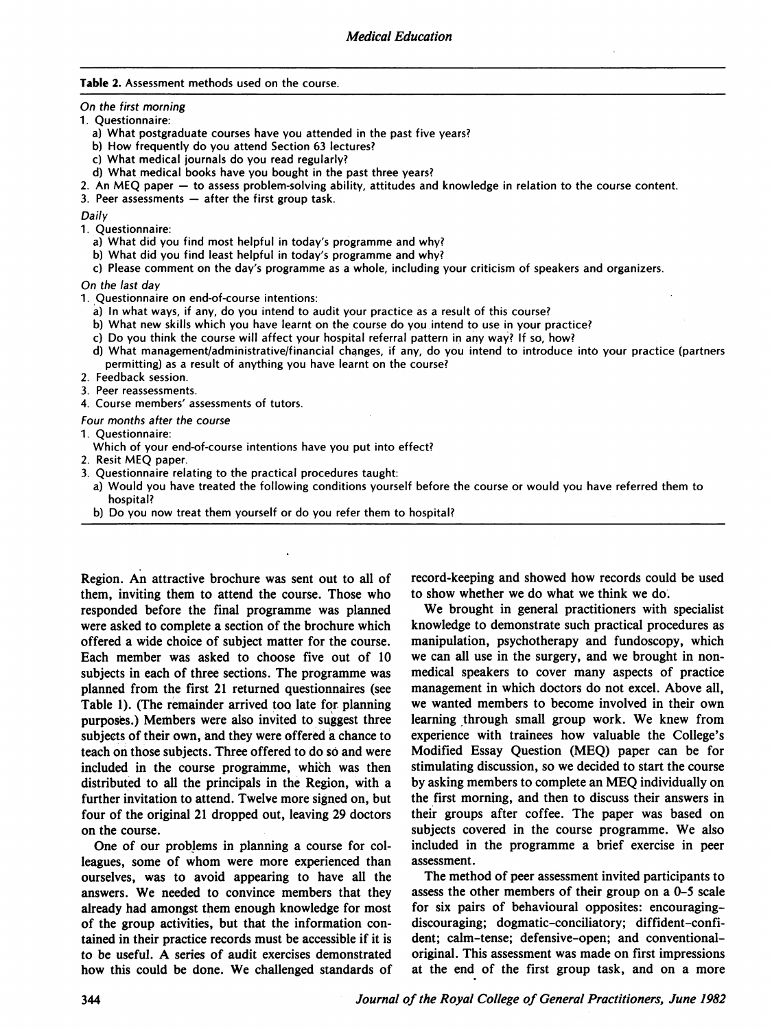#### Table 2. Assessment methods used on the course.

On the first morning

- 1. Questionnaire:
	- a) What postgraduate courses have you attended in the past five years?
	- b) How frequently do you attend Section <sup>63</sup> lectures?
	- c) What medical journals do you read regularly?
	- d) What medical books have you bought in the past three years?
- 2. An MEO paper to assess problem-solving ability, attitudes and knowledge in relation to the course content.
- 3. Peer assessments  $-$  after the first group task.

Daily

- 1. Questionnaire:
	- a) What did you find most helpful in today's programme and why?
	- b) What did you find least helpful in today's programme and why?
	- c) Please comment on the day's programme as <sup>a</sup> whole, including your criticism of speakers and organizers.

On the last day

- 1. Questionnaire on end-of-course intentions:
	- a) In what ways, if any, do you intend to audit your practice as a result of this course?
	- b) What new skills which you have learnt on the course do you intend to use in your practice?
	- c) Do you think the course will affect your hospital referral pattern in any way? If so, how?
	- d) What management/administrative/financial changes, if any, do you intend to introduce into your practice (partners permitting) as a result of anything you have learnt on the course?
- 2. Feedback session.
- 3. Peer reassessments.
- Course members' assessments of tutors. 4

Four months after the course

- 1. Questionnaire:
- Which of your end-of-course intentions have you put into effect?
- 2. Resit MEQ paper.
- 3. Questionnaire relating to the practical procedures taught:
	- a) Would you have treated the following conditions yourself before the course or would you have referred them to hospital?
	- b) Do you now treat them yourself or do you refer them to hospital?

Region. An attractive brochure was sent out to all of them, inviting them to attend the course. Those who responded before the final programme was planned were asked to complete a section of the brochure which offered a wide choice of subject matter for the course. Each member was asked to choose five out of 10 subjects in each of three sections. The programme was planned from the first <sup>21</sup> returned questionnaires (see Table 1). (The remainder arrived too late for planning purposes.) Members were also invited to suggest three subjects of their own, and they were offered a chance to teach on those subjects. Three offered to do so and were included in the course programme, which was then distributed to all the principals in the Region, with a further invitation to attend. Twelve more signed on, but four of the original 21 dropped out, leaving 29 doctors on the course.

One of our problems in planning a course for colleagues, some of whom were more experienced than ourselves, was to avoid appearing to have all the answers. We needed to convince members that they already had amongst them enough knowledge for most of the group activities, but that the information contained in their practice records must be accessible if it is to be useful. A series of audit exercises demonstrated how this could be done. We challenged standards of

record-keeping and showed how records could be used to show whether we do what we think we do.

We brought in general practitioners with specialist knowledge to demonstrate such practical procedures as manipulation, psychotherapy and fundoscopy, which we can all use in the surgery, and we brought in nonmedical speakers to cover many aspects of practice management in which doctors do not excel. Above all, we wanted members to become involved in their own learning through small group work. We knew from experience with trainees how valuable the College's Modified Essay Question (MEQ) paper can be for stimulating discussion, so we decided to start the course by asking members to complete an MEQ individually on the first morning, and then to discuss their answers in their groups after coffee. The paper was based on subjects covered in the course programme. We also included in the programme a brief exercise in peer assessment.

The method of peer assessment invited participants to assess the other members of their group on a 0-5 scale for six pairs of behavioural opposites: encouragingdiscouraging; dogmatic-conciliatory; diffident-confident; calm-tense; defensive-open; and conventionaloriginal. This assessment was made on first impressions at the end of the first group task, and on a more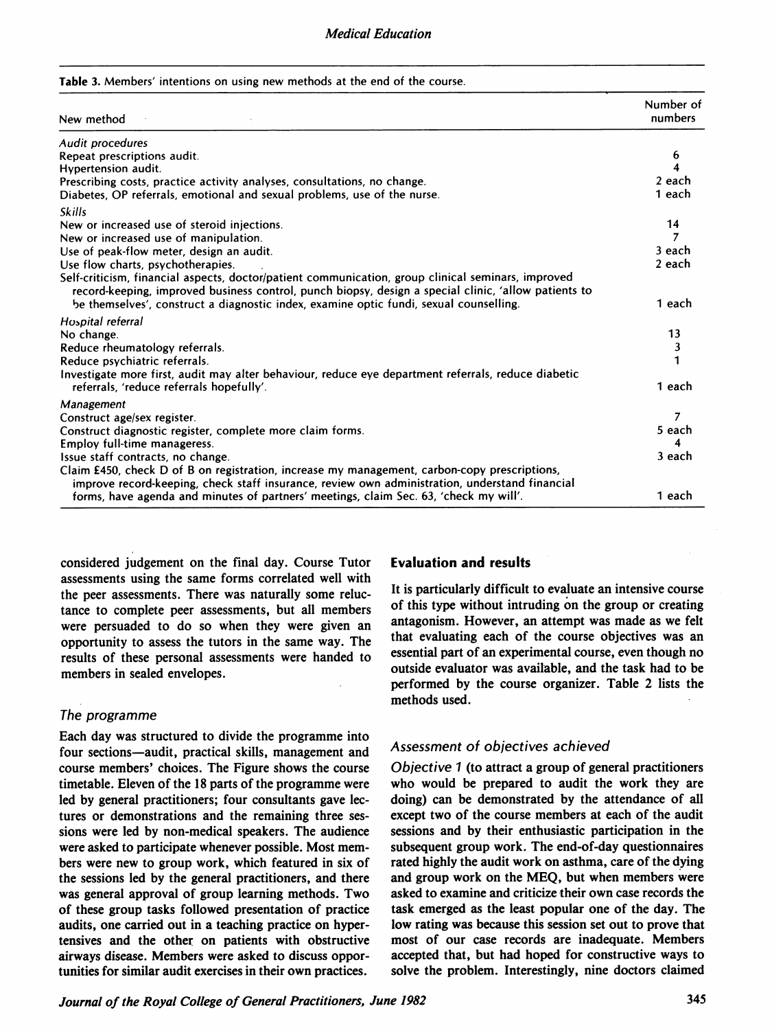#### Table 3. Members' intentions on using new methods at the end of the course.

| New method                                                                                                                                                                                                                                                                                           | Number of<br>numbers |
|------------------------------------------------------------------------------------------------------------------------------------------------------------------------------------------------------------------------------------------------------------------------------------------------------|----------------------|
| Audit procedures                                                                                                                                                                                                                                                                                     |                      |
| Repeat prescriptions audit.                                                                                                                                                                                                                                                                          | 6                    |
| <b>Hypertension audit.</b>                                                                                                                                                                                                                                                                           |                      |
| Prescribing costs, practice activity analyses, consultations, no change.                                                                                                                                                                                                                             | 2 each               |
| Diabetes, OP referrals, emotional and sexual problems, use of the nurse.                                                                                                                                                                                                                             | 1 each               |
| <b>Skills</b>                                                                                                                                                                                                                                                                                        |                      |
| New or increased use of steroid injections.                                                                                                                                                                                                                                                          | 14                   |
| New or increased use of manipulation.                                                                                                                                                                                                                                                                |                      |
| Use of peak-flow meter, design an audit.                                                                                                                                                                                                                                                             | 3 each               |
| Use flow charts, psychotherapies.                                                                                                                                                                                                                                                                    | 2 each               |
| Self-criticism, financial aspects, doctor/patient communication, group clinical seminars, improved<br>record-keeping, improved business control, punch biopsy, design a special clinic, 'allow patients to<br>be themselves', construct a diagnostic index, examine optic fundi, sexual counselling. | 1 each               |
| Hospital referral                                                                                                                                                                                                                                                                                    |                      |
| No change.                                                                                                                                                                                                                                                                                           | 13                   |
| Reduce rheumatology referrals.                                                                                                                                                                                                                                                                       | 3                    |
| Reduce psychiatric referrals.                                                                                                                                                                                                                                                                        |                      |
| Investigate more first, audit may alter behaviour, reduce eye department referrals, reduce diabetic                                                                                                                                                                                                  |                      |
| referrals, 'reduce referrals hopefully'.                                                                                                                                                                                                                                                             | 1 each               |
| Management                                                                                                                                                                                                                                                                                           |                      |
| Construct age/sex register.                                                                                                                                                                                                                                                                          | 7                    |
| Construct diagnostic register, complete more claim forms.                                                                                                                                                                                                                                            | 5 each               |
| Employ full-time manageress.                                                                                                                                                                                                                                                                         |                      |
| Issue staff contracts, no change.                                                                                                                                                                                                                                                                    | 3 each               |
| Claim £450, check D of B on registration, increase my management, carbon-copy prescriptions,<br>improve record-keeping, check staff insurance, review own administration, understand financial                                                                                                       |                      |
| forms, have agenda and minutes of partners' meetings, claim Sec. 63, 'check my will'.                                                                                                                                                                                                                | 1 each               |

considered judgement on the final day. Course Tutor assessments using the same forms correlated well with the peer assessments. There was naturally some reluctance to complete peer assessments, but all members were persuaded to do so when they were given an opportunity to assess the tutors in the same way. The results of these personal assessments were handed to members in sealed envelopes.

### The programme

Each day was structured to divide the programme into four sections—audit, practical skills, management and course members' choices. The Figure shows the course timetable. Eleven of the 18 parts of the programme were led by general practitioners; four consultants gave lectures or demonstrations and the remaining three sessions were led by non-medical speakers. The audience were asked to participate whenever possible. Most mem bers were new to group work, which featured in six of the sessions led by the general practitioners, and there was general approval of group learning methods. Two of these group tasks followed presentation of practice audits, one carried out in a teaching practice on hypertensives and the other on patients with obstructive airways disease. Members were asked to discuss oppor tunities for similar audit exercises in their own practices.

#### Evaluation and results

It is particularly difficult to evaluate an intensive course of this type without intruding on the group or creating antagonism. However, an attempt was made as we felt that evaluating each of the course objectives was an essential part of an experimental course, even though no outside evaluator was available, and the task had to be performed by the course organizer. Table 2 lists the methods used.

### Assessment of objectives achieved

Objective <sup>1</sup> (to attract a group of general practitioners who would be prepared to audit the work they are doing) can be demonstrated by the attendance of all except two of the course members at each of the audit sessions and by their enthusiastic participation in the subsequent group work. The end-of-day questionnaires rated highly the audit work on asthma, care of the dying and group work on the MEQ, but when members were asked to examine and criticize their own case records the task emerged as the least popular one of the day. The low rating was because this session set out to prove that most of our case records are inadequate. Members accepted that, but had hoped for constructive ways to solve the problem. Interestingly, nine doctors claimed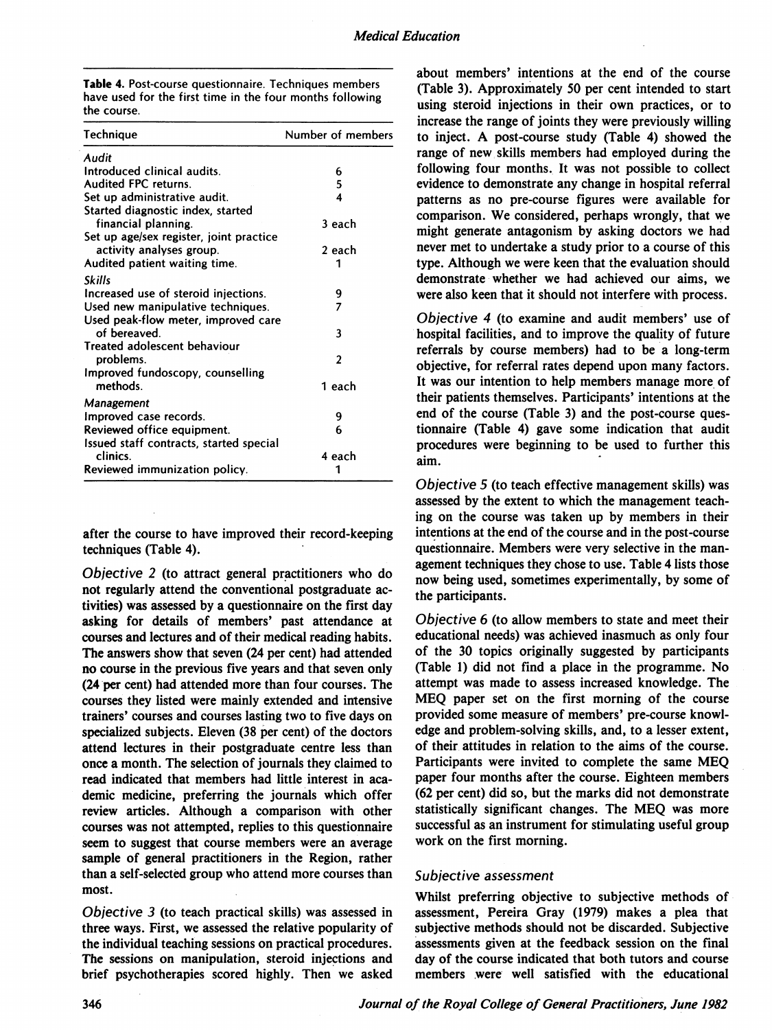| <b>Table 4.</b> Post-course questionnaire. Techniques members |  |
|---------------------------------------------------------------|--|
| have used for the first time in the four months following     |  |
| the course.                                                   |  |

| Technique                               | Number of members |
|-----------------------------------------|-------------------|
| Audit                                   |                   |
| Introduced clinical audits.             | 6                 |
| Audited FPC returns.                    | 5                 |
| Set up administrative audit.            | 4                 |
| Started diagnostic index, started       |                   |
| financial planning.                     | 3 each            |
| Set up age/sex register, joint practice |                   |
| activity analyses group.                | 2 each            |
| Audited patient waiting time.           |                   |
| <b>Skills</b>                           |                   |
| Increased use of steroid injections.    | 9                 |
| Used new manipulative techniques.       | 7                 |
| Used peak-flow meter, improved care     |                   |
| of bereaved.                            | 3                 |
| Treated adolescent behaviour            |                   |
| problems.                               | $\mathfrak z$     |
| Improved fundoscopy, counselling        |                   |
| methods.                                | 1 each            |
| <b>Management</b>                       |                   |
| Improved case records.                  | 9                 |
| Reviewed office equipment.              | 6                 |
| Issued staff contracts, started special |                   |
| clinics.                                | 4 each            |
| Reviewed immunization policy.           |                   |
|                                         |                   |

after the course to have improved their record-keeping techniques (Table 4).

Objective 2 (to attract general practitioners who do not regularly attend the conventional postgraduate activities) was assessed by a questionnaire on the first day asking for details of members' past attendance at courses and lectures and of their medical reading habits. The answers show that seven (24 per cent) had attended no course in the previous five years and that seven only (24 per cent) had attended more than four courses. The courses they listed were mainly extended and intensive trainers' courses and courses lasting two to five days on specialized subjects. Eleven (38 per cent) of the doctors attend lectures in their postgraduate centre less than once a month. The selection of journals they claimed to read indicated that members had little interest in academic medicine, preferring the journals which offer review articles. Although a comparison with other courses was not attempted, replies to this questionnaire seem to suggest that course members were an average sample of general practitioners in the Region, rather than <sup>a</sup> self-selected group who attend more courses than most.

Objective 3 (to teach practical skills) was assessed in three ways. First, we assessed the relative popularity of the individual teaching sessions on practical procedures. The sessions on manipulation, steroid injections and brief psychotherapies scored highly. Then we asked

about members' intentions at the end of the course (Table 3). Approximately 50 per cent intended to start using steroid injections in their own practices, or to increase the range of joints they were previously willing to inject. A post-course study (Table 4) showed the range of new skills members had employed during the following four months. It was not possible to collect evidence to demonstrate any change in hospital referral patterns as no pre-course figures were available for comparison. We considered, perhaps wrongly, that we might generate antagonism by asking doctors we had never met to undertake a study prior to a course of this type. Although we were keen that the evaluation should demonstrate whether we had achieved our aims, we were also keen that it should not interfere with process.

Objective 4 (to examine and audit members' use of hospital facilities, and to improve the quality of future referrals by course members) had to be a long-term objective, for referral rates depend upon many factors. It was our intention to help members manage more of their patients themselves. Participants' intentions at the end of the course (Table 3) and the post-course questionnaire (Table 4) gave some indication that audit procedures were beginning to be used to further this aim.

Objective 5 (to teach effective management skills) was assessed by the extent to which the management teaching on the course was taken up by members in their intentions at the end of the course and in the post-course questionnaire. Members were very selective in the man agement techniques they chose to use. Table 4 lists those now being used, sometimes experimentally, by some of the participants.

Objective 6 (to allow members to state and meet their educational needs) was achieved inasmuch as only four of the 30 topics originally suggested by participants (Table 1) did not find <sup>a</sup> place in the programme. No attempt was made to assess increased knowledge. The MEQ paper set on the first morning of the course provided some measure of members' pre-course knowledge and problem-solving skills, and, to a lesser extent, of their attitudes in relation to the aims of the course. Participants were invited to complete the same MEQ paper four months after the course. Eighteen members (62 per cent) did so, but the marks did not demonstrate statistically significant changes. The MEQ was more successful as an instrument for stimulating useful group work on the first morning.

#### Subjective assessment

Whilst preferring objective to subjective methods of assessment, Pereira Gray (1979) makes a plea that subjective methods should not be discarded. Subjective assessments given at the feedback session on the final day of the course indicated that both tutors and course members were well satisfied with the educational